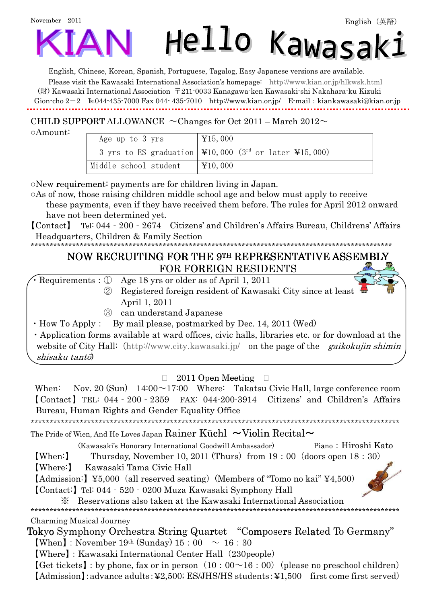

English, Chinese, Korean, Spanish, Portuguese, Tagalog, Easy Japanese versions are available.

Please visit the Kawasaki International Association's homepage: <http://www.kian.or.jp/hlkwsk.html> (財) Kawasaki International Association 〒211-0033 Kanagawa-ken Kawasaki-shi Nakahara-ku Kizuki Gion-cho 2-2 ℡044-435-7000 Fax 044- 435-7010 <http://www.kian.or.jp/>E-mail:[kiankawasaki@kian.or.jp](mailto:kiankawasaki@kian.or.jp) ۹

## CHILD SUPPORT ALLOWANCE  $\sim$  Changes for Oct 2011 – March 2012 $\sim$

○Amount:

| Age up to 3 yrs       | $\textcolor{blue}{\textbf{415,000}}$                                                  |
|-----------------------|---------------------------------------------------------------------------------------|
|                       | 3 yrs to ES graduation   $\text{\yen}10,000$ (3rd or later \\$15,000)                 |
| Middle school student | $\textcolor{red}{\downarrow}$ $\textcolor{red}{\downarrow}$ $\textcolor{red}{10,000}$ |

o New requirement: payments are for children living in Japan.

○As of now, those raising children middle school age and below must apply to receive

 these payments, even if they have received them before. The rules for April 2012 onward have not been determined yet.

【Contact】 Tel: 044‐200‐2674 Citizens' and Children's Affairs Bureau, Childrens' Affairs Headquarters, Children & Family Section

\*\*\*\*\*\*\*\*\*\*\*\*\*\*\*\*\*\*\*\*\*\*\*\*\*\*\*\*\*\*\*\*\*\*\*\*\*\*\*\*\*\*\*\*\*\*\*\*\*\*\*\*\*\*\*\*\*\*\*\*\*\*\*\*\*\*\*\*\*\*\*\*\*\*\*\*\*\*\*\*\*\*\*\*\*\*\*\*\*\*\*\*\*\*\*\*

# NOW RECRUITING FOR THE 9TH REPRESENTATIVE ASSEMBLY FOR FOREIGN RESIDENTS

|  | I OIVI OIVLIUM IVLUIDINTU                                                                         |
|--|---------------------------------------------------------------------------------------------------|
|  | $\cdot$ Requirements : $\oplus$ Age 18 yrs or older as of April 1, 2011                           |
|  | 2 Registered foreign resident of Kawasaki City since at least $\mathbb{R}$                        |
|  | April 1, 2011                                                                                     |
|  | 3 can understand Japanese                                                                         |
|  | • How To Apply : By mail please, postmarked by Dec. 14, 2011 (Wed)                                |
|  | • Application forms available at ward offices, civic halls, libraries etc. or for download at the |

website of City Hall: (<http://www.city.kawasaki.jp/> on the page of the *gaikokujin shimin* shisaku tantō)

### $\Box$  2011 Open Meeting  $\Box$

When: Nov. 20 (Sun)  $14:00 \sim 17:00$  Where: Takatsu Civic Hall, large conference room 【Contact】TEL: 044‐200‐2359 FAX: 044-200-3914 Citizens' and Children's Affairs Bureau, Human Rights and Gender Equality Office  $\ddot{\phantom{a}}$ 

#### \*\*\*\*\*\*\*\*\*\*\*\*\*\*\*\*\*\*\*\*\*\*\*\*\*\*\*\*\*\*\*\*\*\*\*\*\*\*\*\*\*\*\*\*\*\*\*\*\*\*\*\*\*\*\*\*\*\*\*\*\*\*\*\*\*\*\*\*\*\*\*\*\*\*\*\*\*\*\*\*\*\*\*\*\*\*\*\*\*\*\*\*\*\*\*\*\*\* The Pride of Wien, And He Loves Japan Rainer Küchl  $\sim$  Violin Recital $\sim$

(Kawasaki's Honorary International Goodwill Ambassador) Piano:Hiroshi Kato

[When:] Thursday, November 10, 2011 (Thurs) from  $19:00$  (doors open  $18:30$ )

【Where:】 Kawasaki Tama Civic Hall

 $\text{[Admission:]} \ \text{\textless{}5,000} \ \text{(all reserved seating)} \ \text{(Members of "Tomo no kai" $\text{\textless{}4,500}$)}$ 

【Contact:】Tel: 044‐520‐0200 Muza Kawasaki Symphony Hall

※ Reservations also taken at the Kawasaki International Association

\*\*\*\*\*\*\*\*\*\*\*\*\*\*\*\*\*\*\*\*\*\*\*\*\*\*\*\*\*\*\*\*\*\*\*\*\*\*\*\*\*\*\*\*\*\*\*\*\*\*\*\*\*\*\*\*\*\*\*\*\*\*\*\*\*\*\*\*\*\*\*\*\*\*\*\*\*\*\*\*\*\*\*\*\*\*\*\*\*\*\*\*\*\*\*\*\*\*

Charming Musical Journey

Tokyo Symphony Orchestra String Quartet "Composers Related To Germany" [When]: November 19<sup>th</sup> (Sunday)  $15:00 \sim 16:30$ 

【Where】:Kawasaki International Center Hall(230people)

 $[Get tickets] : by phone, fax or in person (10:00~16:00) (please no preschool children)$ 【Admission】:advance adults:¥2,500; ES/JHS/HS students:¥1,500 first come first served)